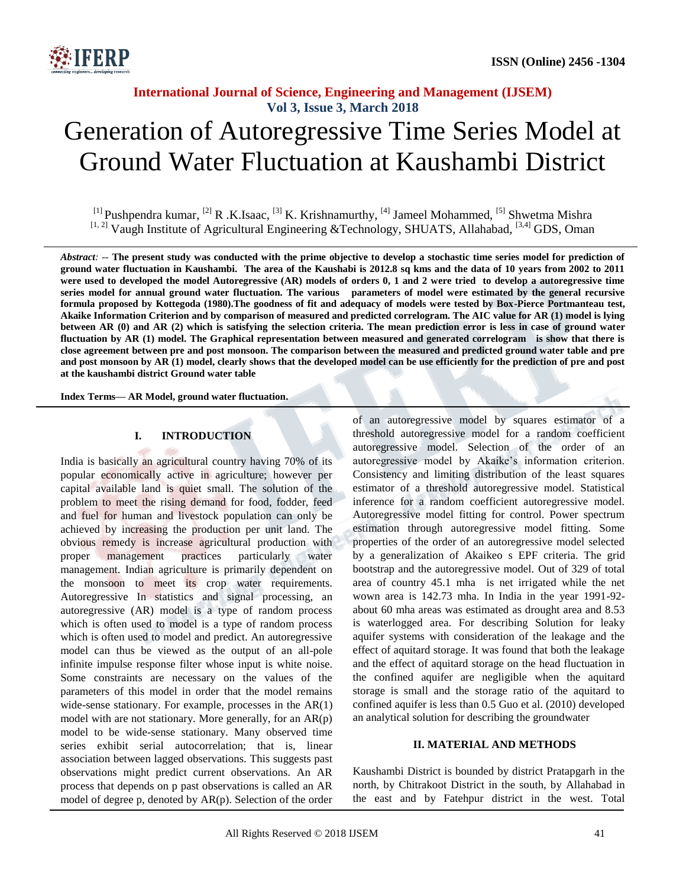

# Generation of Autoregressive Time Series Model at Ground Water Fluctuation at Kaushambi District

<sup>[1]</sup> Pushpendra kumar, <sup>[2]</sup> R .K.Isaac, <sup>[3]</sup> K. Krishnamurthy, <sup>[4]</sup> Jameel Mohammed, <sup>[5]</sup> Shwetma Mishra  $[1, 2]$  Vaugh Institute of Agricultural Engineering &Technology, SHUATS, Allahabad,  $[3, 4]$  GDS, Oman

*Abstract: --* **The present study was conducted with the prime objective to develop a stochastic time series model for prediction of ground water fluctuation in Kaushambi. The area of the Kaushabi is 2012.8 sq kms and the data of 10 years from 2002 to 2011 were used to developed the model Autoregressive (AR) models of orders 0, 1 and 2 were tried to develop a autoregressive time series model for annual ground water fluctuation. The various parameters of model were estimated by the general recursive formula proposed by Kottegoda (1980).The goodness of fit and adequacy of models were tested by Box-Pierce Portmanteau test, Akaike Information Criterion and by comparison of measured and predicted correlogram. The AIC value for AR (1) model is lying between AR (0) and AR (2) which is satisfying the selection criteria. The mean prediction error is less in case of ground water fluctuation by AR (1) model. The Graphical representation between measured and generated correlogram is show that there is close agreement between pre and post monsoon. The comparison between the measured and predicted ground water table and pre**  and post monsoon by AR (1) model, clearly shows that the developed model can be use efficiently for the prediction of pre and post **at the kaushambi district Ground water table**

**Index Terms— AR Model, ground water fluctuation.**

#### **I. INTRODUCTION**

India is basically an agricultural country having 70% of its popular economically active in agriculture; however per capital available land is quiet small. The solution of the problem to meet the rising demand for food, fodder, feed and fuel for human and livestock population can only be achieved by increasing the production per unit land. The obvious remedy is increase agricultural production with proper management practices particularly water management. Indian agriculture is primarily dependent on the monsoon to meet its crop water requirements. Autoregressive In statistics and signal processing, an autoregressive (AR) model is a type of random process which is often used to model is a type of random process which is often used to model and predict. An autoregressive model can thus be viewed as the output of an all-pole infinite impulse response filter whose input is white noise. Some constraints are necessary on the values of the parameters of this model in order that the model remains wide-sense stationary. For example, processes in the AR(1) model with are not stationary. More generally, for an AR(p) model to be wide-sense stationary. Many observed time series exhibit serial autocorrelation; that is, linear association between lagged observations. This suggests past observations might predict current observations. An AR process that depends on p past observations is called an AR model of degree p, denoted by AR(p). Selection of the order

of an autoregressive model by squares estimator of a threshold autoregressive model for a random coefficient autoregressive model. Selection of the order of an autoregressive model by Akaike's information criterion. Consistency and limiting distribution of the least squares estimator of a threshold autoregressive model. Statistical inference for a random coefficient autoregressive model. Autoregressive model fitting for control. Power spectrum estimation through autoregressive model fitting. Some properties of the order of an autoregressive model selected by a generalization of Akaikeo s EPF criteria. The grid bootstrap and the autoregressive model. Out of 329 of total area of country 45.1 mha is net irrigated while the net wown area is 142.73 mha. In India in the year 1991-92 about 60 mha areas was estimated as drought area and 8.53 is waterlogged area. For describing Solution for leaky aquifer systems with consideration of the leakage and the effect of aquitard storage. It was found that both the leakage and the effect of aquitard storage on the head fluctuation in the confined aquifer are negligible when the aquitard storage is small and the storage ratio of the aquitard to confined aquifer is less than 0.5 Guo et al. (2010) developed an analytical solution for describing the groundwater

#### **II. MATERIAL AND METHODS**

Kaushambi District is bounded by district Pratapgarh in the north, by Chitrakoot District in the south, by Allahabad in the east and by Fatehpur district in the west. Total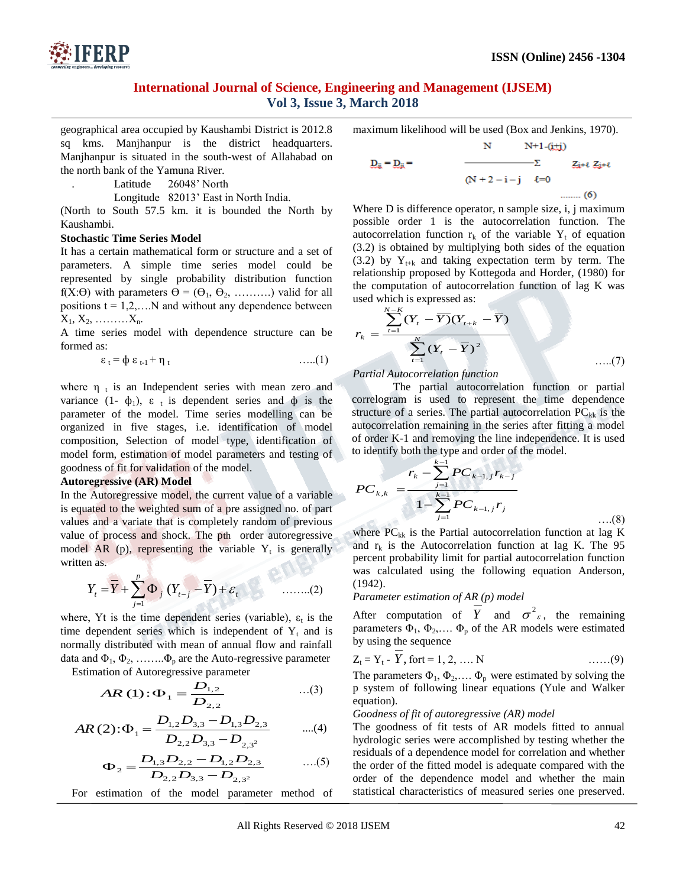

geographical area occupied by Kaushambi District is 2012.8 sq kms. Manjhanpur is the district headquarters. Manjhanpur is situated in the south-west of Allahabad on the north bank of the Yamuna River.

Latitude 26048' North

Longitude 82013' East in North India.

(North to South 57.5 km. it is bounded the North by Kaushambi.

#### **Stochastic Time Series Model**

It has a certain mathematical form or structure and a set of parameters. A simple time series model could be represented by single probability distribution function f(X: $\Theta$ ) with parameters  $\Theta = (\Theta_1, \Theta_2, \ldots, \ldots)$  valid for all positions  $t = 1, 2, \ldots$ . N and without any dependence between  $X_1, X_2, \ldots, X_n$ .

A time series model with dependence structure can be formed as:

$$
\varepsilon_t = \varphi \varepsilon_{t-1} + \eta_t \qquad \qquad \ldots (1)
$$

where  $\eta_t$  is an Independent series with mean zero and variance  $(1 - \phi_1)$ ,  $\varepsilon_t$  is dependent series and  $\phi$  is the parameter of the model. Time series modelling can be organized in five stages, i.e. identification of model composition, Selection of model type, identification of model form, estimation of model parameters and testing of goodness of fit for validation of the model.

#### **Autoregressive (AR) Model**

In the Autoregressive model, the current value of a variable is equated to the weighted sum of a pre assigned no. of part values and a variate that is completely random of previous value of process and shock. The pth order autoregressive model AR (p), representing the variable  $Y_t$  is generally written as. **ATT PA** 

$$
Y_{t} = \overline{Y} + \sum_{j=1}^{p} \Phi_{j} (Y_{t-j} - \overline{Y}) + \varepsilon_{t}
$$
 (2)

where, Yt is the time dependent series (variable),  $\varepsilon_t$  is the time dependent series which is independent of  $Y_t$  and is normally distributed with mean of annual flow and rainfall data and  $\Phi_1, \Phi_2, \ldots, \Phi_p$  are the Auto-regressive parameter

Estimation of Autoregressive parameter

$$
AR(1): \Phi_1 = \frac{D_{1,2}}{D_{2,2}} \qquad \qquad ...(3)
$$

$$
AR(2): \Phi_1 = \frac{D_{1,2}D_{3,3} - D_{1,3}D_{2,3}}{D_{2,2}D_{3,3} - D_{2,3^2}} \qquad \dots (4)
$$

$$
\Phi_2 = \frac{D_{1,3}D_{2,2} - D_{1,2}D_{2,3}}{D_{2,2}D_{3,3} - D_{2,3^2}}
$$
...(5)

For estimation of the model parameter method of

maximum likelihood will be used (Box and Jenkins, 1970).  $\overline{\mathbf{M}}$  $N+1.6 + i$ 

$$
D_{\bar{a}} = D_{\bar{a}} = \frac{2i + \ell \ Z_i + \ell}{(N + 2 - i - j) \ \ell = 0}
$$

Where D is difference operator, n sample size, i, j maximum possible order 1 is the autocorrelation function. The autocorrelation function  $r_k$  of the variable  $Y_t$  of equation (3.2) is obtained by multiplying both sides of the equation (3.2) by  $Y_{t+k}$  and taking expectation term by term. The relationship proposed by Kottegoda and Horder, (1980) for the computation of autocorrelation function of lag K was used which is expressed as:

$$
r_{k} = \frac{\sum_{t=1}^{N-K} (Y_{t} - \overline{Y})(Y_{t+k} - \overline{Y})}{\sum_{t=1}^{N} (Y_{t} - \overline{Y})^{2}}
$$
 ......(7)

#### *Partial Autocorrelation function*

The partial autocorrelation function or partial correlogram is used to represent the time dependence structure of a series. The partial autocorrelation  $PC_{kk}$  is the autocorrelation remaining in the series after fitting a model of order K-1 and removing the line independence. It is used to identify both the type and order of the model.

$$
PC_{k,k} = \frac{r_k - \sum_{j=1}^{k-1} PC_{k-1,j}r_{k-j}}{1 - \sum_{j=1}^{k-1} PC_{k-1,j}r_j}
$$

 ….(8) where  $PC_{kk}$  is the Partial autocorrelation function at lag K and  $r_k$  is the Autocorrelation function at lag K. The 95 percent probability limit for partial autocorrelation function was calculated using the following equation Anderson, (1942).

#### *Parameter estimation of AR (p) model*

After computation of  $\overline{Y}$  and  $\sigma^2$ <sub>c</sub>, the remaining parameters  $\Phi_1$ ,  $\Phi_2$ ,...  $\Phi_p$  of the AR models were estimated by using the sequence

$$
Z_t = Y_t - Y, \text{ for } t = 1, 2, \dots, N \tag{9}
$$

The parameters  $\Phi_1$ ,  $\Phi_2$ ,...  $\Phi_p$  were estimated by solving the p system of following linear equations (Yule and Walker equation).

#### *Goodness of fit of autoregressive (AR) model*

The goodness of fit tests of AR models fitted to annual hydrologic series were accomplished by testing whether the residuals of a dependence model for correlation and whether the order of the fitted model is adequate compared with the order of the dependence model and whether the main statistical characteristics of measured series one preserved.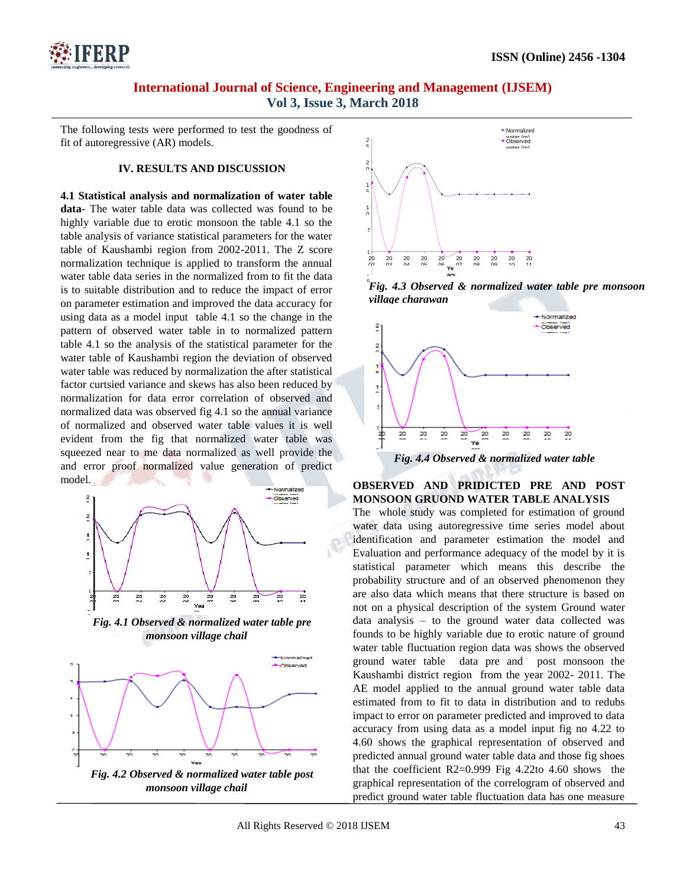

The following tests were performed to test the goodness of fit of autoregressive (AR) models.

#### **IV. RESULTS AND DISCUSSION**

**4.1 Statistical analysis and normalization of water table data**- The water table data was collected was found to be highly variable due to erotic monsoon the table 4.1 so the table analysis of variance statistical parameters for the water table of Kaushambi region from 2002-2011. The Z score normalization technique is applied to transform the annual water table data series in the normalized from to fit the data is to suitable distribution and to reduce the impact of error on parameter estimation and improved the data accuracy for using data as a model input table 4.1 so the change in the pattern of observed water table in to normalized pattern table 4.1 so the analysis of the statistical parameter for the water table of Kaushambi region the deviation of observed water table was reduced by normalization the after statistical factor curtsied variance and skews has also been reduced by normalization for data error correlation of observed and normalized data was observed fig 4.1 so the annual variance of normalized and observed water table values it is well evident from the fig that normalized water table was squeezed near to me data normalized as well provide the and error proof normalized value generation of predict model.









*Fig. 4.3 Observed & normalized water table pre monsoon*  5 *village charawan*



# **OBSERVED AND PRIDICTED PRE AND POST MONSOON GRUOND WATER TABLE ANALYSIS**

The whole study was completed for estimation of ground water data using autoregressive time series model about identification and parameter estimation the model and Evaluation and performance adequacy of the model by it is statistical parameter which means this describe the probability structure and of an observed phenomenon they are also data which means that there structure is based on not on a physical description of the system Ground water data analysis – to the ground water data collected was founds to be highly variable due to erotic nature of ground water table fluctuation region data was shows the observed ground water table data pre and post monsoon the Kaushambi district region from the year 2002- 2011. The AE model applied to the annual ground water table data estimated from to fit to data in distribution and to redubs impact to error on parameter predicted and improved to data accuracy from using data as a model input fig no 4.22 to 4.60 shows the graphical representation of observed and predicted annual ground water table data and those fig shoes that the coefficient  $R2=0.999$  Fig 4.22to 4.60 shows the graphical representation of the correlogram of observed and predict ground water table fluctuation data has one measure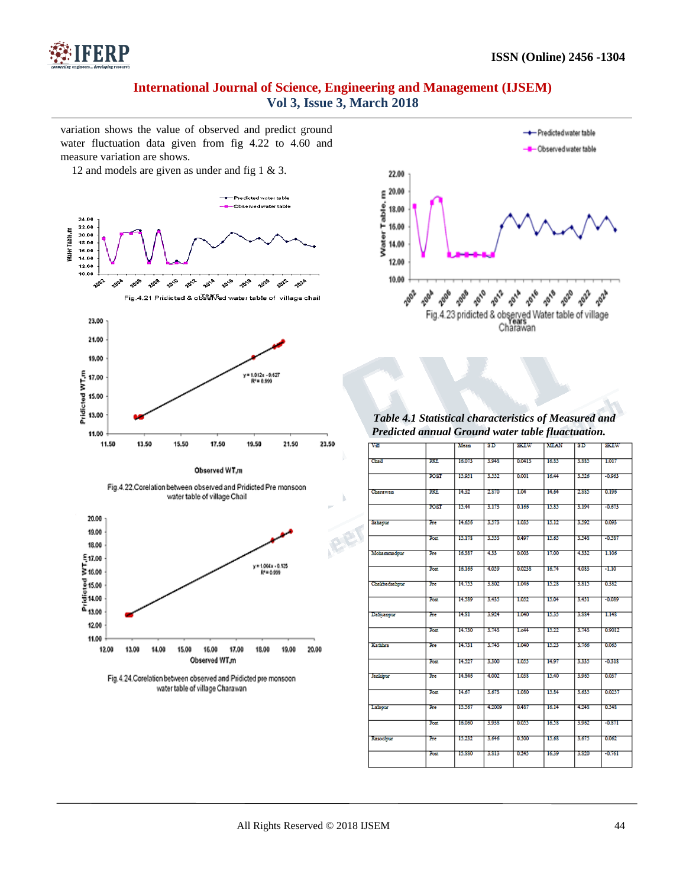

variation shows the value of observed and predict ground water fluctuation data given from fig 4.22 to 4.60 and measure variation are shows.

12 and models are given as under and fig 1 & 3.





*Table 4.1 Statistical characteristics of Measured and Predicted annual Ground water table fluactuation.*

| var            |             | Mean   | SD     | sanw   | MEAN  | SD.   | <b>STEW</b> |
|----------------|-------------|--------|--------|--------|-------|-------|-------------|
|                |             |        |        |        |       |       |             |
| Casil          | <b>DOL</b>  | 16,075 | 3.943  | 0.0413 | 1635  | 3,885 | 1.017       |
|                |             |        |        |        |       |       |             |
|                | FOST        | 15.951 | 3,552  | 0.001  | 16.44 | 3,526 | $-0.963$    |
| Charawan       | <b>DATE</b> | 14.32  | 2370   | TO T   | 14.64 | 2335  | 0.195       |
|                |             |        |        |        |       |       |             |
|                | FOST        | 15.44  | 3,175  | 0.165  | 15.85 | 3,194 | $-0.673$    |
|                |             | 14.656 |        |        | 15.12 |       | 0.093       |
| Sahayuz        | Ee          |        | 3,575  | 1.035  |       | 3,592 |             |
|                | <b>Test</b> | 15.173 | 3,555  | 0.497  | 15.65 | 3.543 | $-0.387$    |
|                |             |        |        |        |       |       |             |
| Mohammadour    | Бe          | 16337  | 433    | 0.003  | 17.00 | 4.332 | 1,105       |
|                | <b>Rest</b> | 16,165 | 4,039  | 0.0238 | 16.75 | 4,083 | $-1.10$     |
|                |             |        |        |        |       |       |             |
| Chalchadsahour | Бe          | 14.755 | 3,502  | 1.046  | 15.28 | 3.815 | 0.382       |
|                |             |        |        |        |       |       |             |
|                | Rst         | 14.589 | 3.435  | 1.032  | 15.04 | 3.451 | -0.039      |
| Daliyanyur     | Ъe          | 14.31  | 3.924  | 1,040  | 15.35 | 3,334 | 1.148       |
|                |             |        |        |        |       |       |             |
|                | Rei         | 14.730 | 3,743  | 1.644  | 15.22 | 3,793 | 0.9012      |
| Kathien        | Ъe          | 14.731 | 3,743  | 1.040  | 15.23 | 3,766 | 0.063       |
|                |             |        |        |        |       |       |             |
|                | Rst         | 14.527 | 3,300  | 1.055  | 14.97 | 3335  | $-0.313$    |
|                |             |        |        |        |       |       |             |
| lankers        | Бe          | 14.346 | 4,002  | 1.038  | 15.40 | 3,965 | 0.037       |
|                | Rst         | 14,67  | 3,675  | 1,050  | 15.34 | 3,635 | 0.0257      |
|                |             |        |        |        |       |       |             |
| Lakou          | <b>Be</b>   | 15,587 | 4,2009 | 0.437  | 16.14 | 4.243 | 0.548       |
|                |             |        |        |        |       |       |             |
|                | <b>Rest</b> | 16,050 | 3,933  | 0.035  | 1628  | 3,962 | $-0.871$    |
| Kasoolour      | Тæ          | 15.232 | 3,646  | 0.500  | 15.68 | 3,675 | 0.062       |
|                |             |        |        |        |       |       |             |
|                | <b>Rest</b> | 15,330 | 3,313  | 0.245  | 1639  | 3,320 | $-0.761$    |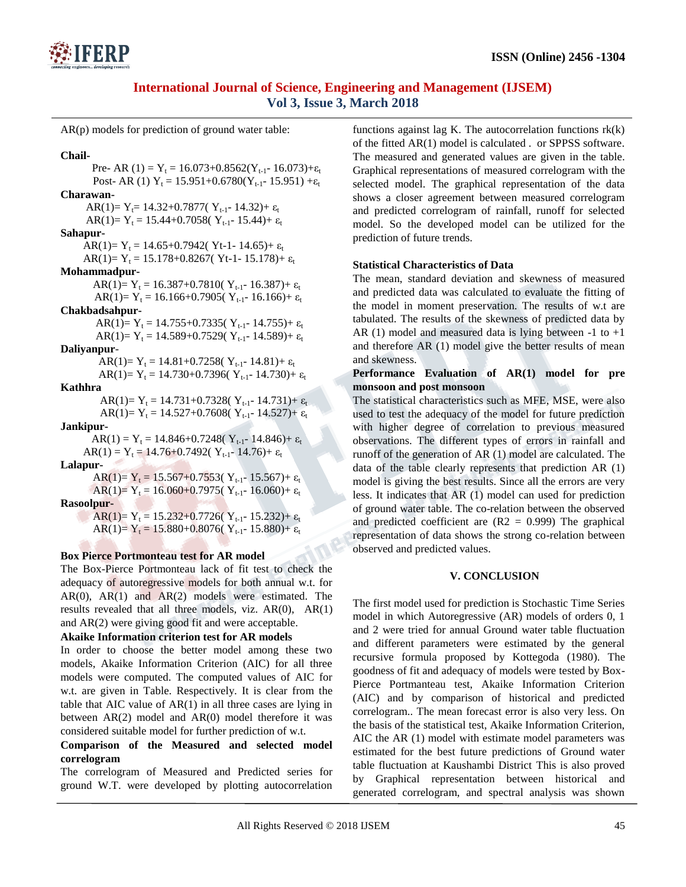

AR(p) models for prediction of ground water table:

**Chail-** Pre- AR (1) =  $Y_t$  = 16.073+0.8562( $Y_{t-1}$ - 16.073)+ $\varepsilon_t$ Post- AR (1)  $Y_t = 15.951+0.6780(Y_{t-1}- 15.951)+\epsilon_t$ **Charawan-** AR(1)=  $Y_t$ = 14.32+0.7877(  $Y_{t-1}$ - 14.32)+  $\varepsilon_t$ AR(1)=  $Y_t = 15.44+0.7058(Y_{t-1}-15.44)+\varepsilon_t$ **Sahapur-** AR(1)=  $Y_t$  = 14.65+0.7942( Yt-1- 14.65)+  $\varepsilon_t$ AR(1)=  $Y_t$  = 15.178+0.8267( Yt-1- 15.178)+  $\varepsilon_t$ **Mohammadpur-**AR(1)=  $Y_t$  = 16.387+0.7810( $Y_{t-1}$ - 16.387)+  $\varepsilon_t$ AR(1)=  $Y_t = 16.166+0.7905(Y_{t-1}-16.166)+\varepsilon_t$ **Chakbadsahpur-** AR(1)=  $Y_t$  = 14.755+0.7335(  $Y_{t-1}$ - 14.755)+  $\varepsilon_t$ AR(1)=  $Y_t$  = 14.589+0.7529(  $Y_{t-1}$ - 14.589)+  $\varepsilon_t$ **Daliyanpur**-AR(1)=  $Y_t$  = 14.81+0.7258( $Y_{t-1}$ - 14.81)+  $\varepsilon_t$ AR(1)=  $Y_t = 14.730+0.7396(Y_{t-1}-14.730)+\epsilon_t$ **Kathhra** AR(1)=  $Y_t = 14.731+0.7328(Y_{t-1}-14.731)+\epsilon_t$ AR(1)=  $Y_t$  = 14.527+0.7608( $Y_{t-1}$ - 14.527)+  $\varepsilon_t$ **Jankipur-** $AR(1) = Y_t = 14.846 + 0.7248(Y_{t-1}- 14.846) + \varepsilon_t$  $AR(1) = Y_t = 14.76 + 0.7492(Y_{t-1} - 14.76) + \varepsilon_t$ **Lalapur-**AR(1)=  $Y_t = 15.567+0.7553(Y_{t-1}-15.567)+\varepsilon_t$ AR(1)=  $Y_t = 16.060+0.7975(Y_{t-1}-16.060)+\varepsilon_t$ **Rasoolpur-**AR(1)=  $Y_t = 15.232+0.7726(Y_{t-1}-15.232)+\epsilon_t$ AR(1)=  $Y_t$  = 15.880+0.8076(  $Y_{t-1}$ - 15.880)+  $\varepsilon_t$ 

## **Box Pierce Portmonteau test for AR model**

The Box-Pierce Portmonteau lack of fit test to check the adequacy of autoregressive models for both annual w.t. for AR(0), AR(1) and AR(2) models were estimated. The results revealed that all three models, viz. AR(0), AR(1) and AR(2) were giving good fit and were acceptable.

## **Akaike Information criterion test for AR models**

In order to choose the better model among these two models, Akaike Information Criterion (AIC) for all three models were computed. The computed values of AIC for w.t. are given in Table. Respectively. It is clear from the table that AIC value of AR(1) in all three cases are lying in between  $AR(2)$  model and  $AR(0)$  model therefore it was considered suitable model for further prediction of w.t.

### **Comparison of the Measured and selected model correlogram**

The correlogram of Measured and Predicted series for ground W.T. were developed by plotting autocorrelation functions against lag K. The autocorrelation functions  $rk(k)$ of the fitted AR(1) model is calculated . or SPPSS software. The measured and generated values are given in the table. Graphical representations of measured correlogram with the selected model. The graphical representation of the data shows a closer agreement between measured correlogram and predicted correlogram of rainfall, runoff for selected model. So the developed model can be utilized for the prediction of future trends.

## **Statistical Characteristics of Data**

The mean, standard deviation and skewness of measured and predicted data was calculated to evaluate the fitting of the model in moment preservation. The results of w.t are tabulated. The results of the skewness of predicted data by AR (1) model and measured data is lying between  $-1$  to  $+1$ and therefore AR (1) model give the better results of mean and skewness.

### **Performance Evaluation of AR(1) model for pre monsoon and post monsoon**

The statistical characteristics such as MFE, MSE, were also used to test the adequacy of the model for future prediction with higher degree of correlation to previous measured observations. The different types of errors in rainfall and runoff of the generation of AR (1) model are calculated. The data of the table clearly represents that prediction AR (1) model is giving the best results. Since all the errors are very less. It indicates that AR (1) model can used for prediction of ground water table. The co-relation between the observed and predicted coefficient are  $(R2 = 0.999)$  The graphical representation of data shows the strong co-relation between observed and predicted values.

## **V. CONCLUSION**

The first model used for prediction is Stochastic Time Series model in which Autoregressive (AR) models of orders 0, 1 and 2 were tried for annual Ground water table fluctuation and different parameters were estimated by the general recursive formula proposed by Kottegoda (1980). The goodness of fit and adequacy of models were tested by Box-Pierce Portmanteau test, Akaike Information Criterion (AIC) and by comparison of historical and predicted correlogram.. The mean forecast error is also very less. On the basis of the statistical test, Akaike Information Criterion, AIC the AR (1) model with estimate model parameters was estimated for the best future predictions of Ground water table fluctuation at Kaushambi District This is also proved by Graphical representation between historical and generated correlogram, and spectral analysis was shown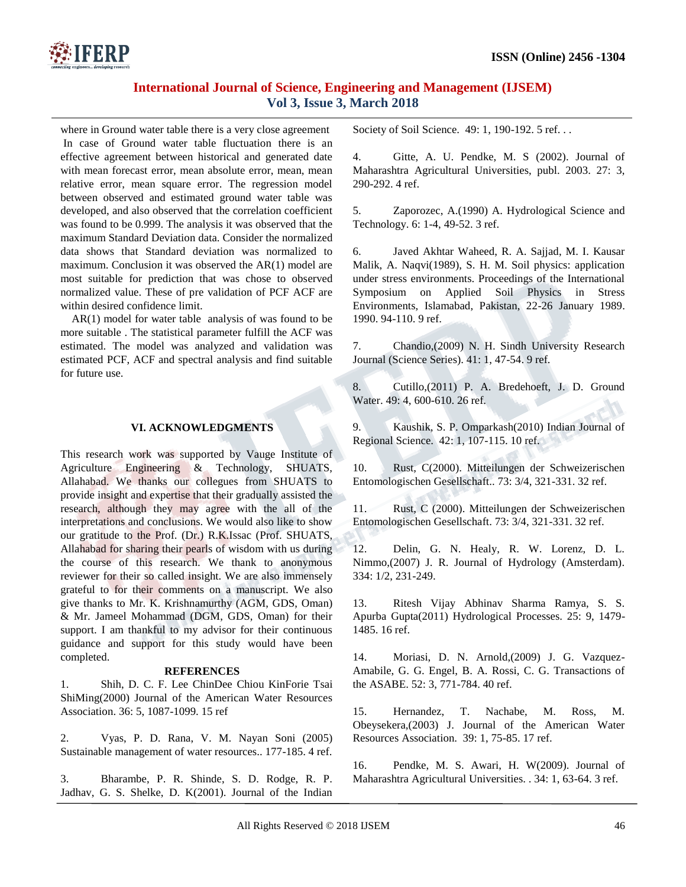

where in Ground water table there is a very close agreement In case of Ground water table fluctuation there is an effective agreement between historical and generated date with mean forecast error, mean absolute error, mean, mean relative error, mean square error. The regression model between observed and estimated ground water table was developed, and also observed that the correlation coefficient was found to be 0.999. The analysis it was observed that the maximum Standard Deviation data. Consider the normalized data shows that Standard deviation was normalized to maximum. Conclusion it was observed the AR(1) model are most suitable for prediction that was chose to observed normalized value. These of pre validation of PCF ACF are within desired confidence limit.

AR(1) model for water table analysis of was found to be more suitable . The statistical parameter fulfill the ACF was estimated. The model was analyzed and validation was estimated PCF, ACF and spectral analysis and find suitable for future use.

## **VI. ACKNOWLEDGMENTS**

This research work was supported by Vauge Institute of Agriculture Engineering & Technology, SHUATS, Allahabad. We thanks our collegues from SHUATS to provide insight and expertise that their gradually assisted the research, although they may agree with the all of the interpretations and conclusions. We would also like to show our gratitude to the Prof. (Dr.) R.K.Issac (Prof. SHUATS, Allahabad for sharing their pearls of wisdom with us during the course of this research. We thank to anonymous reviewer for their so called insight. We are also immensely grateful to for their comments on a manuscript. We also give thanks to Mr. K. Krishnamurthy (AGM, GDS, Oman) & Mr. Jameel Mohammad (DGM, GDS, Oman) for their support. I am thankful to my advisor for their continuous guidance and support for this study would have been completed.

### **REFERENCES**

1. Shih, D. C. F. Lee ChinDee Chiou KinForie Tsai ShiMing(2000) Journal of the American Water Resources Association. 36: 5, 1087-1099. 15 ref

2. Vyas, P. D. Rana, V. M. Nayan Soni (2005) Sustainable management of water resources.. 177-185. 4 ref.

3. Bharambe, P. R. Shinde, S. D. Rodge, R. P. Jadhav, G. S. Shelke, D. K(2001). Journal of the Indian Society of Soil Science. 49: 1, 190-192. 5 ref...

4. Gitte, A. U. Pendke, M. S (2002). Journal of Maharashtra Agricultural Universities, publ. 2003. 27: 3, 290-292. 4 ref.

5. Zaporozec, A.(1990) A. Hydrological Science and Technology. 6: 1-4, 49-52. 3 ref.

6. Javed Akhtar Waheed, R. A. Sajjad, M. I. Kausar Malik, A. Naqvi(1989), S. H. M. Soil physics: application under stress environments. Proceedings of the International Symposium on Applied Soil Physics in Stress Environments, Islamabad, Pakistan, 22-26 January 1989. 1990. 94-110. 9 ref.

7. Chandio,(2009) N. H. Sindh University Research Journal (Science Series). 41: 1, 47-54. 9 ref.

8. Cutillo,(2011) P. A. Bredehoeft, J. D. Ground Water. 49: 4, 600-610. 26 ref.

9. Kaushik, S. P. Omparkash(2010) Indian Journal of Regional Science. 42: 1, 107-115. 10 ref.

10. Rust, C(2000). Mitteilungen der Schweizerischen Entomologischen Gesellschaft.. 73: 3/4, 321-331. 32 ref.

11. Rust, C (2000). Mitteilungen der Schweizerischen Entomologischen Gesellschaft. 73: 3/4, 321-331. 32 ref.

12. Delin, G. N. Healy, R. W. Lorenz, D. L. Nimmo,(2007) J. R. Journal of Hydrology (Amsterdam). 334: 1/2, 231-249.

13. Ritesh Vijay Abhinav Sharma Ramya, S. S. Apurba Gupta(2011) Hydrological Processes. 25: 9, 1479- 1485. 16 ref.

14. Moriasi, D. N. Arnold,(2009) J. G. Vazquez-Amabile, G. G. Engel, B. A. Rossi, C. G. Transactions of the ASABE. 52: 3, 771-784. 40 ref.

15. Hernandez, T. Nachabe, M. Ross, M. Obeysekera,(2003) J. Journal of the American Water Resources Association. 39: 1, 75-85. 17 ref.

16. Pendke, M. S. Awari, H. W(2009). Journal of Maharashtra Agricultural Universities. . 34: 1, 63-64. 3 ref.